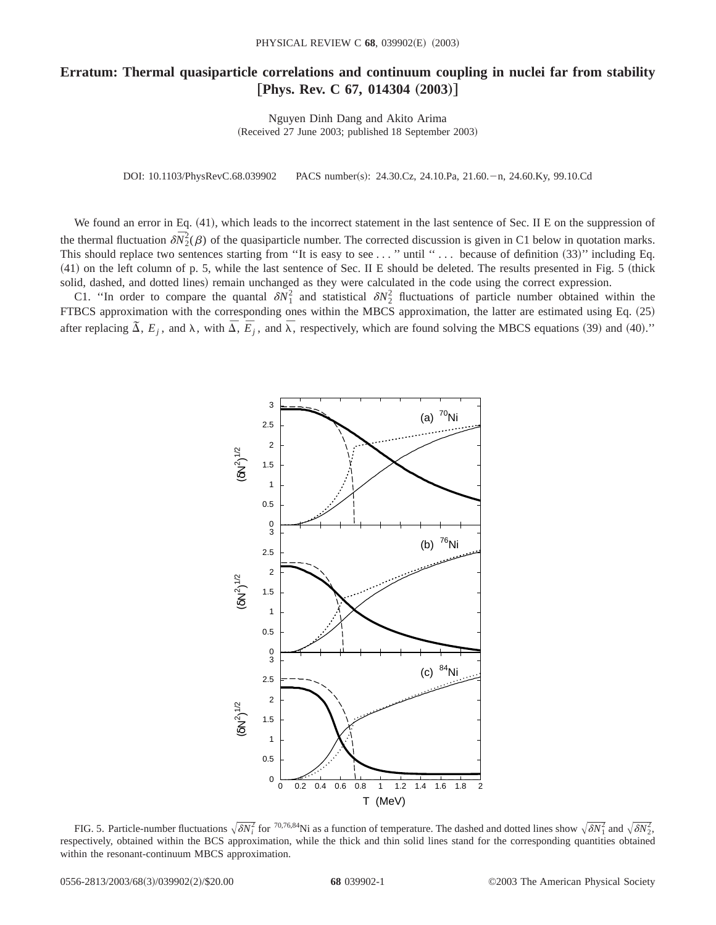## **Erratum: Thermal quasiparticle correlations and continuum coupling in nuclei far from stability [Phys. Rev. C 67, 014304 (2003)]**

Nguyen Dinh Dang and Akito Arima (Received 27 June 2003; published 18 September 2003)

DOI: 10.1103/PhysRevC.68.039902 PACS number(s): 24.30.Cz, 24.10.Pa, 21.60. - n, 24.60.Ky, 99.10.Cd

We found an error in Eq.  $(41)$ , which leads to the incorrect statement in the last sentence of Sec. II E on the suppression of the thermal fluctuation  $\delta \bar{N}_2^2(\beta)$  of the quasiparticle number. The corrected discussion is given in C1 below in quotation marks. This should replace two sentences starting from "It is easy to see  $\dots$  " until " $\dots$  because of definition  $(33)$ " including Eq.  $(41)$  on the left column of p. 5, while the last sentence of Sec. II E should be deleted. The results presented in Fig. 5 (thick solid, dashed, and dotted lines) remain unchanged as they were calculated in the code using the correct expression.

C1. "In order to compare the quantal  $\delta N_1^2$  and statistical  $\delta N_2^2$  fluctuations of particle number obtained within the FTBCS approximation with the corresponding ones within the MBCS approximation, the latter are estimated using Eq.  $(25)$ after replacing  $\tilde{\Delta}$ ,  $E_j$ , and  $\lambda$ , with  $\overline{\Delta}$ ,  $\overline{E}_j$ , and  $\overline{\lambda}$ , respectively, which are found solving the MBCS equations (39) and (40)."



FIG. 5. Particle-number fluctuations  $\sqrt{\delta N_i^2}$  for <sup>70,76,84</sup>Ni as a function of temperature. The dashed and dotted lines show  $\sqrt{\delta N_1^2}$  and  $\sqrt{\delta N_2^2}$ , respectively, obtained within the BCS approximation, while the thick and thin solid lines stand for the corresponding quantities obtained within the resonant-continuum MBCS approximation.